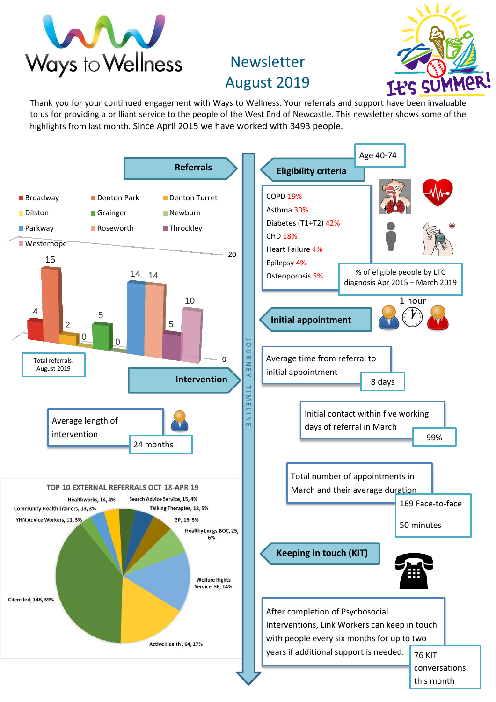

## Newsletter August 2019



Thank you for your continued engagement with Ways to Wellness. Your referrals and support have been invaluable to us for providing a brilliant service to the people of the West End of Newcastle. This newsletter shows some of the highlights from last month. Since April 2015 we have worked with 3493 people.